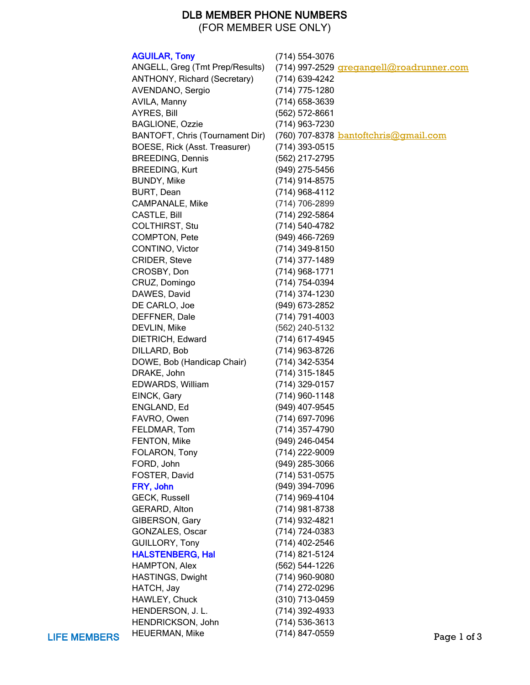## DLB MEMBER PHONE NUMBERS

(FOR MEMBER USE ONLY)

|                     | <b>AGUILAR, Tony</b>            | (714) 554-3076                           |             |
|---------------------|---------------------------------|------------------------------------------|-------------|
|                     | ANGELL, Greg (Tmt Prep/Results) | (714) 997-2529 gregangell@roadrunner.com |             |
|                     | ANTHONY, Richard (Secretary)    | (714) 639-4242                           |             |
|                     | AVENDANO, Sergio                | (714) 775-1280                           |             |
|                     | AVILA, Manny                    | (714) 658-3639                           |             |
|                     | <b>AYRES, Bill</b>              | (562) 572-8661                           |             |
|                     | <b>BAGLIONE, Ozzie</b>          | (714) 963-7230                           |             |
|                     | BANTOFT, Chris (Tournament Dir) | (760) 707-8378 bantoftchris@gmail.com    |             |
|                     | BOESE, Rick (Asst. Treasurer)   | (714) 393-0515                           |             |
|                     | <b>BREEDING, Dennis</b>         | (562) 217-2795                           |             |
|                     | <b>BREEDING, Kurt</b>           | (949) 275-5456                           |             |
|                     | <b>BUNDY, Mike</b>              | (714) 914-8575                           |             |
|                     | BURT, Dean                      | (714) 968-4112                           |             |
|                     | <b>CAMPANALE, Mike</b>          | (714) 706-2899                           |             |
|                     | <b>CASTLE, Bill</b>             | (714) 292-5864                           |             |
|                     | COLTHIRST, Stu                  | (714) 540-4782                           |             |
|                     | COMPTON, Pete                   | (949) 466-7269                           |             |
|                     | CONTINO, Victor                 | (714) 349-8150                           |             |
|                     | CRIDER, Steve                   | $(714)$ 377-1489                         |             |
|                     | CROSBY, Don                     | $(714)$ 968-1771                         |             |
|                     | CRUZ, Domingo                   | (714) 754-0394                           |             |
|                     | DAWES, David                    | (714) 374-1230                           |             |
|                     | DE CARLO, Joe                   | (949) 673-2852                           |             |
|                     | DEFFNER, Dale                   | $(714) 791 - 4003$                       |             |
|                     | DEVLIN, Mike                    | (562) 240-5132                           |             |
|                     | DIETRICH, Edward                | (714) 617-4945                           |             |
|                     | DILLARD, Bob                    | (714) 963-8726                           |             |
|                     | DOWE, Bob (Handicap Chair)      | (714) 342-5354                           |             |
|                     | DRAKE, John                     | $(714)$ 315-1845                         |             |
|                     | EDWARDS, William                | (714) 329-0157                           |             |
|                     | EINCK, Gary                     | $(714)$ 960-1148                         |             |
|                     | ENGLAND, Ed                     | (949) 407-9545                           |             |
|                     | FAVRO, Owen                     | (714) 697-7096                           |             |
|                     | FELDMAR, Tom                    |                                          |             |
|                     | FENTON, Mike                    | (714) 357-4790<br>(949) 246-0454         |             |
|                     | FOLARON, Tony                   | (714) 222-9009                           |             |
|                     |                                 | (949) 285-3066                           |             |
|                     | FORD, John<br>FOSTER, David     | (714) 531-0575                           |             |
|                     |                                 |                                          |             |
|                     | FRY, John                       | (949) 394-7096                           |             |
|                     | <b>GECK, Russell</b>            | (714) 969-4104                           |             |
|                     | GERARD, Alton                   | (714) 981-8738                           |             |
|                     | GIBERSON, Gary                  | (714) 932-4821                           |             |
|                     | GONZALES, Oscar                 | (714) 724-0383                           |             |
|                     | GUILLORY, Tony                  | (714) 402-2546                           |             |
|                     | <b>HALSTENBERG, Hal</b>         | (714) 821-5124                           |             |
|                     | HAMPTON, Alex                   | (562) 544-1226                           |             |
|                     | HASTINGS, Dwight                | (714) 960-9080                           |             |
|                     | HATCH, Jay                      | (714) 272-0296                           |             |
|                     | HAWLEY, Chuck                   | (310) 713-0459                           |             |
|                     | HENDERSON, J. L.                | (714) 392-4933                           |             |
|                     | HENDRICKSON, John               | (714) 536-3613                           |             |
| <b>LIFE MEMBERS</b> | HEUERMAN, Mike                  | (714) 847-0559                           | Page 1 of 3 |

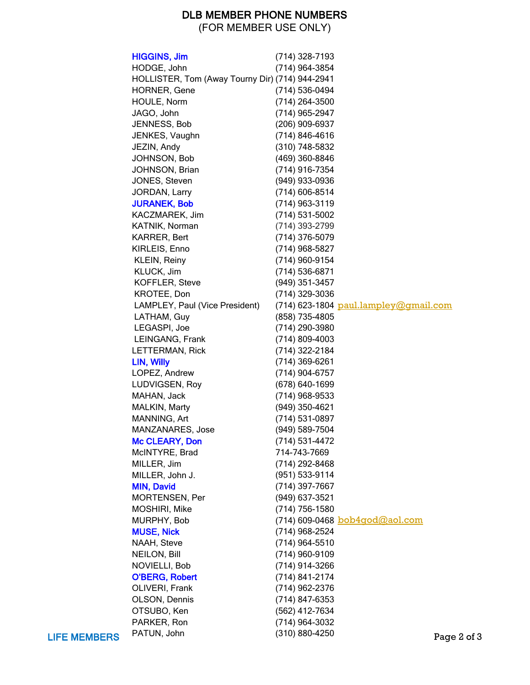## DLB MEMBER PHONE NUMBERS

(FOR MEMBER USE ONLY)

|                     | <b>HIGGINS, Jim</b>                             | (714) 328-7193   |                                       |             |
|---------------------|-------------------------------------------------|------------------|---------------------------------------|-------------|
|                     | HODGE, John                                     | (714) 964-3854   |                                       |             |
|                     | HOLLISTER, Tom (Away Tourny Dir) (714) 944-2941 |                  |                                       |             |
|                     | <b>HORNER, Gene</b>                             | (714) 536-0494   |                                       |             |
|                     | HOULE, Norm                                     | (714) 264-3500   |                                       |             |
|                     | JAGO, John                                      | (714) 965-2947   |                                       |             |
|                     | JENNESS, Bob                                    | (206) 909-6937   |                                       |             |
|                     | JENKES, Vaughn                                  | (714) 846-4616   |                                       |             |
|                     | JEZIN, Andy                                     | (310) 748-5832   |                                       |             |
|                     | JOHNSON, Bob                                    | (469) 360-8846   |                                       |             |
|                     | JOHNSON, Brian                                  | (714) 916-7354   |                                       |             |
|                     | JONES, Steven                                   | (949) 933-0936   |                                       |             |
|                     | JORDAN, Larry                                   | $(714)$ 606-8514 |                                       |             |
|                     | <b>JURANEK, Bob</b>                             | $(714)$ 963-3119 |                                       |             |
|                     | KACZMAREK, Jim                                  | (714) 531-5002   |                                       |             |
|                     | KATNIK, Norman                                  | (714) 393-2799   |                                       |             |
|                     | KARRER, Bert                                    | (714) 376-5079   |                                       |             |
|                     | KIRLEIS, Enno                                   | (714) 968-5827   |                                       |             |
|                     | KLEIN, Reiny                                    | (714) 960-9154   |                                       |             |
|                     | KLUCK, Jim                                      | (714) 536-6871   |                                       |             |
|                     | KOFFLER, Steve                                  | (949) 351-3457   |                                       |             |
|                     |                                                 |                  |                                       |             |
|                     | KROTEE, Don                                     | (714) 329-3036   |                                       |             |
|                     | LAMPLEY, Paul (Vice President)                  |                  | (714) 623-1804 paul.lampley@gmail.com |             |
|                     | LATHAM, Guy                                     | (858) 735-4805   |                                       |             |
|                     | LEGASPI, Joe                                    | (714) 290-3980   |                                       |             |
|                     | LEINGANG, Frank                                 | (714) 809-4003   |                                       |             |
|                     | LETTERMAN, Rick                                 | (714) 322-2184   |                                       |             |
|                     | LIN, Willy                                      | (714) 369-6261   |                                       |             |
|                     | LOPEZ, Andrew                                   | (714) 904-6757   |                                       |             |
|                     | LUDVIGSEN, Roy                                  | (678) 640-1699   |                                       |             |
|                     | MAHAN, Jack                                     | (714) 968-9533   |                                       |             |
|                     | MALKIN, Marty                                   | (949) 350-4621   |                                       |             |
|                     | MANNING, Art                                    | (714) 531-0897   |                                       |             |
|                     | MANZANARES, Jose                                | (949) 589-7504   |                                       |             |
|                     | Mc CLEARY, Don                                  | (714) 531-4472   |                                       |             |
|                     | McINTYRE, Brad                                  | 714-743-7669     |                                       |             |
|                     | MILLER, Jim                                     | (714) 292-8468   |                                       |             |
|                     | MILLER, John J.                                 | (951) 533-9114   |                                       |             |
|                     | <b>MIN, David</b>                               | (714) 397-7667   |                                       |             |
|                     | MORTENSEN, Per                                  | (949) 637-3521   |                                       |             |
|                     | MOSHIRI, Mike                                   | (714) 756-1580   |                                       |             |
|                     | MURPHY, Bob                                     |                  | (714) 609-0468 bob4god@aol.com        |             |
|                     | <b>MUSE, Nick</b>                               | (714) 968-2524   |                                       |             |
|                     | NAAH, Steve                                     | (714) 964-5510   |                                       |             |
|                     | NEILON, Bill                                    | (714) 960-9109   |                                       |             |
|                     | NOVIELLI, Bob                                   | (714) 914-3266   |                                       |             |
|                     | <b>O'BERG, Robert</b>                           | (714) 841-2174   |                                       |             |
|                     | OLIVERI, Frank                                  | (714) 962-2376   |                                       |             |
|                     | OLSON, Dennis                                   | (714) 847-6353   |                                       |             |
|                     | OTSUBO, Ken                                     | (562) 412-7634   |                                       |             |
|                     | PARKER, Ron                                     | (714) 964-3032   |                                       |             |
| <b>LIFE MEMBERS</b> | PATUN, John                                     | (310) 880-4250   |                                       | Page 2 of 3 |
|                     |                                                 |                  |                                       |             |